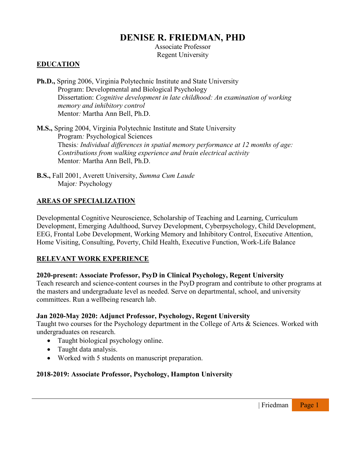# **DENISE R. FRIEDMAN, PHD**

Associate Professor Regent University

## **EDUCATION**

**Ph.D.,** Spring 2006, Virginia Polytechnic Institute and State University Program: Developmental and Biological Psychology Dissertation: *Cognitive development in late childhood: An examination of working memory and inhibitory control* Mentor*:* Martha Ann Bell, Ph.D.

**M.S.,** Spring 2004, Virginia Polytechnic Institute and State University Program*:* Psychological Sciences Thesis*: Individual differences in spatial memory performance at 12 months of age: Contributions from walking experience and brain electrical activity* Mentor*:* Martha Ann Bell, Ph.D.

**B.S.,** Fall 2001, Averett University, *Summa Cum Laude* Major*:* Psychology

## **AREAS OF SPECIALIZATION**

Developmental Cognitive Neuroscience, Scholarship of Teaching and Learning, Curriculum Development, Emerging Adulthood, Survey Development, Cyberpsychology, Child Development, EEG, Frontal Lobe Development, Working Memory and Inhibitory Control, Executive Attention, Home Visiting, Consulting, Poverty, Child Health, Executive Function, Work-Life Balance

#### **RELEVANT WORK EXPERIENCE**

#### **2020-present: Associate Professor, PsyD in Clinical Psychology, Regent University**

Teach research and science-content courses in the PsyD program and contribute to other programs at the masters and undergraduate level as needed. Serve on departmental, school, and university committees. Run a wellbeing research lab.

#### **Jan 2020-May 2020: Adjunct Professor, Psychology, Regent University**

Taught two courses for the Psychology department in the College of Arts & Sciences. Worked with undergraduates on research.

- Taught biological psychology online.
- Taught data analysis.
- Worked with 5 students on manuscript preparation.

## **2018-2019: Associate Professor, Psychology, Hampton University**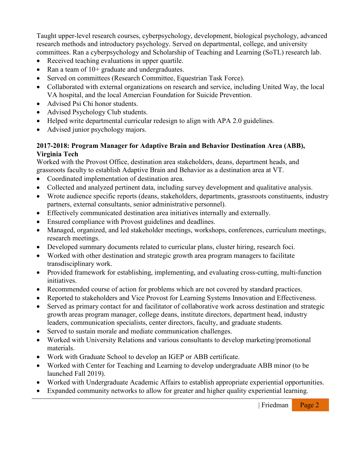Taught upper-level research courses, cyberpsychology, development, biological psychology, advanced research methods and introductory psychology. Served on departmental, college, and university committees. Ran a cyberpsychology and Scholarship of Teaching and Learning (SoTL) research lab.

- Received teaching evaluations in upper quartile.
- Ran a team of 10+ graduate and undergraduates.
- Served on committees (Research Committee, Equestrian Task Force).
- Collaborated with external organizations on research and service, including United Way, the local VA hospital, and the local Amercian Foundation for Suicide Prevention.
- Advised Psi Chi honor students.
- Advised Psychology Club students.
- Helped write departmental curricular redesign to align with APA 2.0 guidelines.
- Advised junior psychology majors.

## **2017-2018: Program Manager for Adaptive Brain and Behavior Destination Area (ABB), Virginia Tech**

Worked with the Provost Office, destination area stakeholders, deans, department heads, and grassroots faculty to establish Adaptive Brain and Behavior as a destination area at VT.

- Coordinated implementation of destination area.
- Collected and analyzed pertinent data, including survey development and qualitative analysis.
- Wrote audience specific reports (deans, stakeholders, departments, grassroots constituents, industry partners, external consultants, senior administrative personnel).
- Effectively communicated destination area initiatives internally and externally.
- Ensured compliance with Provost guidelines and deadlines.
- Managed, organized, and led stakeholder meetings, workshops, conferences, curriculum meetings, research meetings.
- Developed summary documents related to curricular plans, cluster hiring, research foci.
- Worked with other destination and strategic growth area program managers to facilitate transdisciplinary work.
- Provided framework for establishing, implementing, and evaluating cross-cutting, multi-function initiatives.
- Recommended course of action for problems which are not covered by standard practices.
- Reported to stakeholders and Vice Provost for Learning Systems Innovation and Effectiveness.
- Served as primary contact for and facilitator of collaborative work across destination and strategic growth areas program manager, college deans, institute directors, department head, industry leaders, communication specialists, center directors, faculty, and graduate students.
- Served to sustain morale and mediate communication challenges.
- Worked with University Relations and various consultants to develop marketing/promotional materials.
- Work with Graduate School to develop an IGEP or ABB certificate.
- Worked with Center for Teaching and Learning to develop undergraduate ABB minor (to be launched Fall 2019).
- Worked with Undergraduate Academic Affairs to establish appropriate experiential opportunities.
- Expanded community networks to allow for greater and higher quality experiential learning.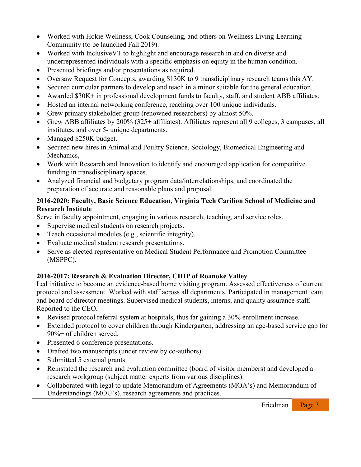- Worked with Hokie Wellness, Cook Counseling, and others on Wellness Living-Learning Community (to be launched Fall 2019).
- Worked with Inclusive VT to highlight and encourage research in and on diverse and underrepresented individuals with a specific emphasis on equity in the human condition.
- Presented briefings and/or presentations as required.
- Oversaw Request for Concepts, awarding \$130K to 9 transdiciplinary research teams this AY.
- Secured curricular partners to develop and teach in a minor suitable for the general education.
- Awarded \$30K+ in professional development funds to faculty, staff, and student ABB affiliates.
- Hosted an internal networking conference, reaching over 100 unique individuals.
- Grew primary stakeholder group (renowned researchers) by almost 50%.
- Grew ABB affiliates by 200% (325+ affiliates). Affiliates represent all 9 colleges, 3 campuses, all institutes, and over 5- unique departments.
- Managed \$250K budget.
- Secured new hires in Animal and Poultry Science, Sociology, Biomedical Engineering and Mechanics,
- Work with Research and Innovation to identify and encouraged application for competitive funding in transdisciplinary spaces.
- Analyzed financial and budgetary program data/interrelationships, and coordinated the preparation of accurate and reasonable plans and proposal.

## **2016-2020: Faculty, Basic Science Education, Virginia Tech Carilion School of Medicine and Research Institute**

Serve in faculty appointment, engaging in various research, teaching, and service roles.

- Supervise medical students on research projects.
- Teach occasional modules (e.g., scientific integrity).
- Evaluate medical student research presentations.
- Serve as elected representative on Medical Student Performance and Promotion Committee (MSPPC).

## **2016-2017: Research & Evaluation Director, CHIP of Roanoke Valley**

Led initiative to become an evidence-based home visiting program. Assessed effectiveness of current protocol and assessment. Worked with staff across all departments. Participated in management team and board of director meetings. Supervised medical students, interns, and quality assurance staff. Reported to the CEO.

- Revised protocol referral system at hospitals, thus far gaining a 30% enrollment increase.
- Extended protocol to cover children through Kindergarten, addressing an age-based service gap for 90%+ of children served.
- Presented 6 conference presentations.
- Drafted two manuscripts (under review by co-authors).
- Submitted 5 external grants.
- Reinstated the research and evaluation committee (board of visitor members) and developed a research workgroup (subject matter experts from various disciplines).
- Collaborated with legal to update Memorandum of Agreements (MOA's) and Memorandum of Understandings (MOU's), research agreements and practices.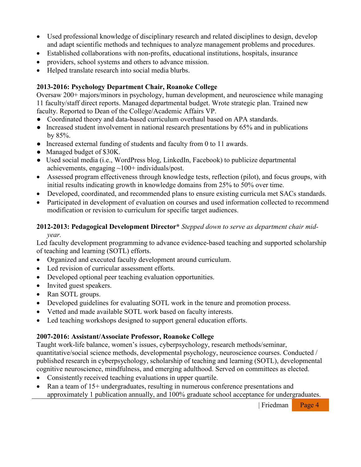- Used professional knowledge of disciplinary research and related disciplines to design, develop and adapt scientific methods and techniques to analyze management problems and procedures.
- Established collaborations with non-profits, educational institutions, hospitals, insurance
- providers, school systems and others to advance mission.
- Helped translate research into social media blurbs.

### **2013-2016: Psychology Department Chair, Roanoke College**

Oversaw 200+ majors/minors in psychology, human development, and neuroscience while managing 11 faculty/staff direct reports. Managed departmental budget. Wrote strategic plan. Trained new faculty. Reported to Dean of the College/Academic Affairs VP.

- Coordinated theory and data-based curriculum overhaul based on APA standards.
- Increased student involvement in national research presentations by 65% and in publications by 85%.
- Increased external funding of students and faculty from 0 to 11 awards.
- Managed budget of \$30K.
- Used social media (i.e., WordPress blog, LinkedIn, Facebook) to publicize departmental achievements, engaging ~100+ individuals/post.
- Assessed program effectiveness through knowledge tests, reflection (pilot), and focus groups, with initial results indicating growth in knowledge domains from 25% to 50% over time.
- Developed, coordinated, and recommended plans to ensure existing curricula met SACs standards.
- Participated in development of evaluation on courses and used information collected to recommend modification or revision to curriculum for specific target audiences.

## **2012-2013: Pedagogical Development Director\*** *Stepped down to serve as department chair mid-*

*year.*

Led faculty development programming to advance evidence-based teaching and supported scholarship of teaching and learning (SOTL) efforts.

- Organized and executed faculty development around curriculum.
- Led revision of curricular assessment efforts.
- Developed optional peer teaching evaluation opportunities.
- Invited guest speakers.
- Ran SOTL groups.
- Developed guidelines for evaluating SOTL work in the tenure and promotion process.
- Vetted and made available SOTL work based on faculty interests.
- Led teaching workshops designed to support general education efforts.

#### **2007-2016: Assistant/Associate Professor, Roanoke College**

Taught work-life balance, women's issues, cyberpsychology, research methods/seminar, quantitative/social science methods, developmental psychology, neuroscience courses. Conducted / published research in cyberpsychology, scholarship of teaching and learning (SOTL), developmental cognitive neuroscience, mindfulness, and emerging adulthood. Served on committees as elected.

- Consistently received teaching evaluations in upper quartile.
- Ran a team of 15+ undergraduates, resulting in numerous conference presentations and approximately 1 publication annually, and 100% graduate school acceptance for undergraduates.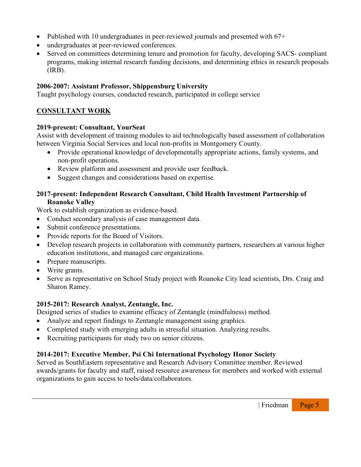- Published with 10 undergraduates in peer-reviewed journals and presented with 67+
- undergraduates at peer-reviewed conferences.
- Served on committees determining tenure and promotion for faculty, developing SACS- compliant programs, making internal research funding decisions, and determining ethics in research proposals (IRB).

## **2006-2007: Assistant Professor, Shippensburg University**

Taught psychology courses, conducted research, participated in college service

## **CONSULTANT WORK**

### **2019-present: Consultant, YourSeat**

Assist with development of training modules to aid technologically based assessment of collaboration between Virginia Social Services and local non-profits in Montgomery County.

- Provide operational knowledge of developmentally appropriate actions, family systems, and non-profit operations.
- Review platform and assessment and provide user feedback.
- Suggest changes and considerations based on expertise.

## **2017-present: Independent Research Consultant, Child Health Investment Partnership of Roanoke Valley**

Work to establish organization as evidence-based.

- Conduct secondary analysis of case management data.
- Submit conference presentations.
- Provide reports for the Board of Visitors.
- Develop research projects in collaboration with community partners, researchers at various higher education institutions, and managed care organizations.
- Prepare manuscripts.
- Write grants.
- Serve as representative on School Study project with Roanoke City lead scientists, Drs. Craig and Sharon Ramey.

## **2015-2017: Research Analyst, Zentangle, Inc.**

Designed series of studies to examine efficacy of Zentangle (mindfulness) method.

- Analyze and report findings to Zentangle management using graphics.
- Completed study with emerging adults in stressful situation. Analyzing results.
- Recruiting participants for study two on senior citizens.

## **2014-2017: Executive Member, Psi Chi International Psychology Honor Society**

Served as SouthEastern representative and Research Advisory Committee member. Reviewed awards/grants for faculty and staff, raised resource awareness for members and worked with external organizations to gain access to tools/data/collaborators.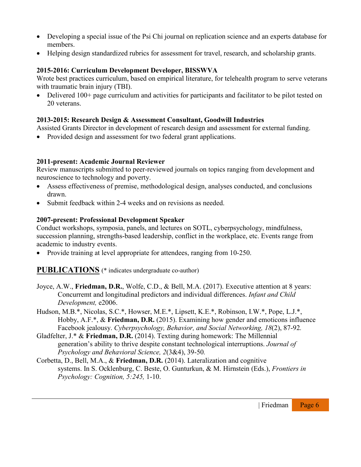- Developing a special issue of the Psi Chi journal on replication science and an experts database for members.
- Helping design standardized rubrics for assessment for travel, research, and scholarship grants.

## **2015-2016: Curriculum Development Developer, BISSWVA**

Wrote best practices curriculum, based on empirical literature, for telehealth program to serve veterans with traumatic brain injury *(TBI)*.

• Delivered 100+ page curriculum and activities for participants and facilitator to be pilot tested on 20 veterans.

## **2013-2015: Research Design & Assessment Consultant, Goodwill Industries**

Assisted Grants Director in development of research design and assessment for external funding.

• Provided design and assessment for two federal grant applications.

### **2011-present: Academic Journal Reviewer**

Review manuscripts submitted to peer-reviewed journals on topics ranging from development and neuroscience to technology and poverty.

- Assess effectiveness of premise, methodological design, analyses conducted, and conclusions drawn.
- Submit feedback within 2-4 weeks and on revisions as needed.

#### **2007-present: Professional Development Speaker**

Conduct workshops, symposia, panels, and lectures on SOTL, cyberpsychology, mindfulness, succession planning, strengths-based leadership, conflict in the workplace, etc. Events range from academic to industry events.

• Provide training at level appropriate for attendees, ranging from 10-250.

**PUBLICATIONS** (\* indicates undergraduate co-author)

- Joyce, A.W., **Friedman, D.R.**, Wolfe, C.D., & Bell, M.A. (2017). Executive attention at 8 years: Concurremt and longitudinal predictors and individual differences. *Infant and Child Development,* e2006.
- Hudson, M.B.\*, Nicolas, S.C.\*, Howser, M.E.\*, Lipsett, K.E.\*, Robinson, I.W.\*, Pope, L.J.\*, Hobby, A.F.\*, & **Friedman, D.R.** (2015). Examining how gender and emoticons influence Facebook jealousy. *Cyberpsychology, Behavior, and Social Networking, 18*(2), 87-92*.*
- Gladfelter, J.\* & **Friedman, D.R.** (2014). Texting during homework: The Millennial generation's ability to thrive despite constant technological interruptions. *Journal of Psychology and Behavioral Science, 2*(3&4), 39-50*.*
- Corbetta, D., Bell, M.A., & **Friedman, D.R.** (2014). Lateralization and cognitive systems. In S. Ocklenburg, C. Beste, O. Gunturkun, & M. Hirnstein (Eds.), *Frontiers in Psychology: Cognition, 5:245,* 1-10.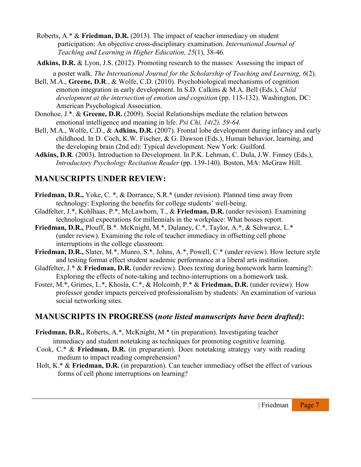- Roberts, A.\* & **Friedman, D.R.** (2013). The impact of teacher immediacy on student participation: An objective cross-disciplinary examination. *International Journal of Teaching and Learning in Higher Education, 25*(1), 38-46*.*
- **Adkins, D.R.** & Lyon, J.S. (2012). Promoting research to the masses: Assessing the impact of a poster walk. *The International Journal for the Scholarship of Teaching and Learning, 6*(2).
- Bell, M.A., **Greene, D.R**., & Wolfe, C.D. (2010). Psychobiological mechanisms of cognition emotion integration in early development. In S.D. Calkins & M.A. Bell (Eds.), *Child development at the intersection of emotion and cognition* (pp. 115-132). Washington, DC: American Psychological Association.
- Donohoe, J.\*. & **Greene, D.R.** (2009). Social Relationships mediate the relation between emotional intelligence and meaning in life. *Psi Chi, 14(2), 59-64.*
- Bell, M.A., Wolfe, C.D., & **Adkins, D.R.** (2007). Frontal lobe development during infancy and early childhood. In D. Coch, K.W. Fischer, & G. Dawson (Eds.), Human behavior, learning, and the developing brain (2nd ed): Typical development. New York: Guilford.
- **Adkins, D.R**. (2003). Introduction to Development. In P.K. Lehman, C. Dula, J.W. Finney (Eds.), *Introductory Psychology Recitation Reader* (pp. 139-140). Boston, MA: McGraw Hill.

## **MANUSCRIPTS UNDER REVIEW:**

- **Friedman, D.R.,** Yoke, C. \*, & Dorrance, S.R.\* (under revision). Planned time away from technology: Exploring the benefits for college students' well-being.
- Gladfelter, J.\*, Kohlhaas, P.\*, McLawhorn, T., & **Friedman, D.R.** (under revision). Examining technological expectations for millennials in the workplace: What bosses report.
- **Friedman, D.R.,** Plouff, B.\*. McKnight, M.\*, Dulaney, C.\*, Taylor, A.\*, & Schwarcz, L.\* (under review). Examining the role of teacher immediacy in offsetting cell phone interruptions in the college classroom.
- **Friedman, D.R.,** Slater, M.\*, Munro, S.\*, Johns, A.\*, Powell, C.\* (under review). How lecture style and testing format effect student academic performance at a liberal arts institution.
- Gladfelter, J.\* & **Friedman, D.R.** (under review). Does texting during homework harm learning?: Exploring the effects of note-taking and techno-interruptions on a homework task.
- Foster, M.\*, Grimes, L.\*, Khosla, C.\*, & Holcomb, P.\* & **Friedman, D.R.** (under review). How professor gender impacts perceived professionalism by students: An examination of various social networking sites.

## **MANUSCRIPTS IN PROGRESS (***note listed manuscripts have been drafted)***:**

- **Friedman, D.R.,** Roberts, A.\*, McKnight, M.\* (in preparation). Investigating teacher immediacy and student notetaking as techniques for promoting cognitive learning.
- Cook, C.\* & **Friedman, D.R.** (in preparation). Does notetaking strategy vary with reading medium to impact reading comprehension?
- Holt, K.\* & **Friedman, D.R.** (in preparation). Can teacher immediacy offset the effect of various forms of cell phone interruptions on learning?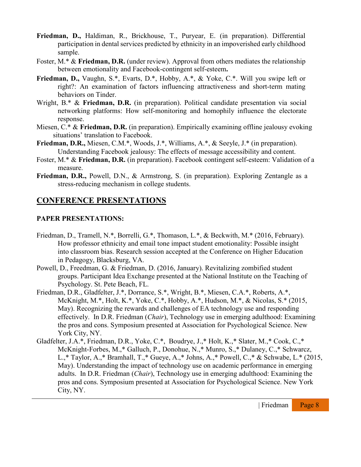- **Friedman, D.,** Haldiman, R., Brickhouse, T., Puryear, E. (in preparation). Differential participation in dental services predicted by ethnicity in an impoverished early childhood sample.
- Foster, M.\* & Friedman, D.R. (under review). Approval from others mediates the relationship between emotionality and Facebook-contingent self-esteem**.**
- **Friedman, D.,** Vaughn, S.\*, Evarts, D.\*, Hobby, A.\*, & Yoke, C.\*. Will you swipe left or right?: An examination of factors influencing attractiveness and short-term mating behaviors on Tinder.
- Wright, B.<sup>\*</sup> & **Friedman, D.R.** (in preparation). Political candidate presentation via social networking platforms: How self-monitoring and homophily influence the electorate response.
- Miesen, C.\* & **Friedman, D.R.** (in preparation). Empirically examining offline jealousy evoking situations' translation to Facebook.
- **Friedman, D.R.,** Miesen, C.M.\*, Woods, J.\*, Williams, A.\*, & Seeyle, J.\* (in preparation). Understanding Facebook jealousy: The effects of message accessibility and content.
- Foster, M.\* & **Friedman, D.R.** (in preparation). Facebook contingent self-esteem: Validation of a measure.
- **Friedman, D.R.,** Powell, D.N., & Armstrong, S. (in preparation). Exploring Zentangle as a stress-reducing mechanism in college students.

## **CONFERENCE PRESENTATIONS**

#### **PAPER PRESENTATIONS:**

- Friedman, D., Tramell, N.\*, Borrelli, G.\*, Thomason, L.\*, & Beckwith, M.\* (2016, February). How professor ethnicity and email tone impact student emotionality: Possible insight into classroom bias. Research session accepted at the Conference on Higher Education in Pedagogy, Blacksburg, VA.
- Powell, D., Freedman, G. & Friedman, D. (2016, January). Revitalizing zombified student groups. Participant Idea Exchange presented at the National Institute on the Teaching of Psychology. St. Pete Beach, FL.
- Friedman, D.R., Gladfelter, J.\*, Dorrance, S.\*, Wright, B.\*, Miesen, C.A.\*, Roberts, A.\*, McKnight, M.\*, Holt, K.\*, Yoke, C.\*, Hobby, A.\*, Hudson, M.\*, & Nicolas, S.\* (2015, May). Recognizing the rewards and challenges of EA technology use and responding effectively. In D.R. Friedman (*Chair*), Technology use in emerging adulthood: Examining the pros and cons. Symposium presented at Association for Psychological Science. New York City, NY.
- Gladfelter, J.A.\*, Friedman, D.R., Yoke, C.\*, Boudrye, J.,\* Holt, K.,\* Slater, M.,\* Cook, C.,\* McKnight-Forbes, M.,\* Galluch, P., Donohue, N.,\* Munro, S.,\* Dulaney, C.,\* Schwarcz, L.,\* Taylor, A.,\* Bramhall, T.,\* Gueye, A.,\* Johns, A.,\* Powell, C.,\* & Schwabe, L.\* (2015, May). Understanding the impact of technology use on academic performance in emerging adults. In D.R. Friedman (*Chair*), Technology use in emerging adulthood: Examining the pros and cons. Symposium presented at Association for Psychological Science. New York City, NY.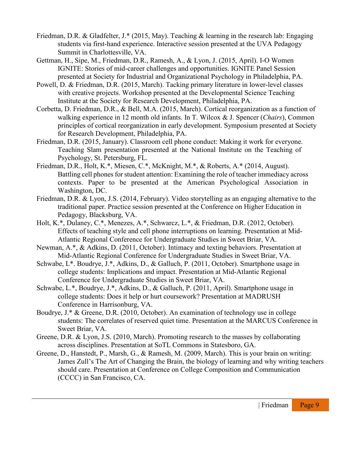- Friedman, D.R. & Gladfelter, J.\* (2015, May). Teaching & learning in the research lab: Engaging students via first-hand experience. Interactive session presented at the UVA Pedagogy Summit in Charlottesville, VA.
- Gettman, H., Sipe, M., Friedman, D.R., Ramesh, A., & Lyon, J. (2015, April). I-O Women IGNITE: Stories of mid-career challenges and opportunities. IGNITE Panel Session presented at Society for Industrial and Organizational Psychology in Philadelphia, PA.
- Powell, D. & Friedman, D.R. (2015, March). Tacking primary literature in lower-level classes with creative projects. Workshop presented at the Developmental Science Teaching Institute at the Society for Research Development, Philadelphia, PA.
- Corbetta, D. Friedman, D.R., & Bell, M.A. (2015, March). Cortical reorganization as a function of walking experience in 12 month old infants. In T. Wilcox & J. Spencer (*Chairs*), Common principles of cortical reorganization in early development. Symposium presented at Society for Research Development, Philadelphia, PA.
- Friedman, D.R. (2015, January). Classroom cell phone conduct: Making it work for everyone. Teaching Slam presentation presented at the National Institute on the Teaching of Psychology, St. Petersburg, FL.
- Friedman, D.R., Holt, K.\*, Miesen, C.\*, McKnight, M.\*, & Roberts, A.\* (2014, August). Battling cell phones for student attention: Examining the role of teacher immediacy across contexts. Paper to be presented at the American Psychological Association in Washington, DC.
- Friedman, D.R. & Lyon, J.S. (2014, February). Video storytelling as an engaging alternative to the traditional paper. Practice session presented at the Conference on Higher Education in Pedagogy, Blacksburg, VA.
- Holt, K.\*, Dulaney, C.\*, Menezes, A.\*, Schwarcz, L.\*, & Friedman, D.R. (2012, October). Effects of teaching style and cell phone interruptions on learning. Presentation at Mid-Atlantic Regional Conference for Undergraduate Studies in Sweet Briar, VA.
- Newman, A.\*, & Adkins, D. (2011, October). Intimacy and texting behaviors. Presentation at Mid-Atlantic Regional Conference for Undergraduate Studies in Sweet Briar, VA.
- Schwabe, L\*. Boudrye, J.\*, Adkins, D., & Galluch, P. (2011, October). Smartphone usage in college students: Implications and impact. Presentation at Mid-Atlantic Regional Conference for Undergraduate Studies in Sweet Briar, VA.
- Schwabe, L.\*, Boudrye, J.\*, Adkins, D., & Galluch, P. (2011, April). Smartphone usage in college students: Does it help or hurt coursework? Presentation at MADRUSH Conference in Harrisonburg, VA.
- Boudrye, J.\* & Greene, D.R. (2010, October). An examination of technology use in college students: The correlates of reserved quiet time. Presentation at the MARCUS Conference in Sweet Briar, VA.
- Greene, D.R. & Lyon, J.S. (2010, March). Promoting research to the masses by collaborating across disciplines. Presentation at SoTL Commons in Statesboro, GA.
- Greene, D., Hanstedt, P., Marsh, G., & Ramesh, M. (2009, March). This is your brain on writing: James Zull's The Art of Changing the Brain, the biology of learning and why writing teachers should care. Presentation at Conference on College Composition and Communication (CCCC) in San Francisco, CA.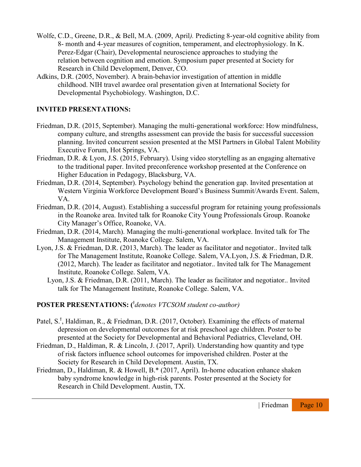- Wolfe, C.D., Greene, D.R., & Bell, M.A. (2009, April*).* Predicting 8-year-old cognitive ability from 8- month and 4-year measures of cognition, temperament, and electrophysiology. In K. Perez-Edgar (Chair), Developmental neuroscience approaches to studying the relation between cognition and emotion. Symposium paper presented at Society for Research in Child Development, Denver, CO.
- Adkins, D.R. (2005, November). A brain-behavior investigation of attention in middle childhood. NIH travel awardee oral presentation given at International Society for Developmental Psychobiology. Washington, D.C.

### **INVITED PRESENTATIONS:**

- Friedman, D.R. (2015, September). Managing the multi-generational workforce: How mindfulness, company culture, and strengths assessment can provide the basis for successful succession planning. Invited concurrent session presented at the MSI Partners in Global Talent Mobility Executive Forum, Hot Springs, VA.
- Friedman, D.R. & Lyon, J.S. (2015, February). Using video storytelling as an engaging alternative to the traditional paper. Invited preconference workshop presented at the Conference on Higher Education in Pedagogy, Blacksburg, VA.
- Friedman, D.R. (2014, September). Psychology behind the generation gap. Invited presentation at Western Virginia Workforce Development Board's Business Summit/Awards Event. Salem, VA.
- Friedman, D.R. (2014, August). Establishing a successful program for retaining young professionals in the Roanoke area. Invited talk for Roanoke City Young Professionals Group. Roanoke City Manager's Office, Roanoke, VA.
- Friedman, D.R. (2014, March). Managing the multi-generational workplace. Invited talk for The Management Institute, Roanoke College. Salem, VA.
- Lyon, J.S. & Friedman, D.R. (2013, March). The leader as facilitator and negotiator.. Invited talk for The Management Institute, Roanoke College. Salem, VA.Lyon, J.S. & Friedman, D.R. (2012, March). The leader as facilitator and negotiator.. Invited talk for The Management Institute, Roanoke College. Salem, VA.
	- Lyon, J.S. & Friedman, D.R. (2011, March). The leader as facilitator and negotiator.. Invited talk for The Management Institute, Roanoke College. Salem, VA.

#### **POSTER PRESENTATIONS: (** ϯ *denotes VTCSOM student co-author)*

- Patel, S.<sup>†</sup>, Haldiman, R., & Friedman, D.R. (2017, October). Examining the effects of maternal depression on developmental outcomes for at risk preschool age children. Poster to be presented at the Society for Developmental and Behavioral Pediatrics, Cleveland, OH.
- Friedman, D., Haldiman, R. & Lincoln, J. (2017, April). Understanding how quantity and type of risk factors influence school outcomes for impoverished children. Poster at the Society for Research in Child Development. Austin, TX.
- Friedman, D., Haldiman, R. & Howell, B.\* (2017, April). In-home education enhance shaken baby syndrome knowledge in high-risk parents. Poster presented at the Society for Research in Child Development. Austin, TX.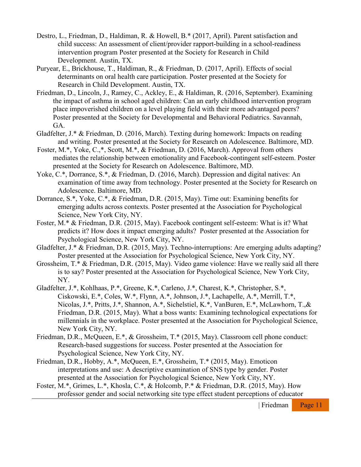- Destro, L., Friedman, D., Haldiman, R. & Howell, B.\* (2017, April). Parent satisfaction and child success: An assessment of client/provider rapport-building in a school-readiness intervention program Poster presented at the Society for Research in Child Development. Austin, TX.
- Puryear, E., Brickhouse, T., Haldiman, R., & Friedman, D. (2017, April). Effects of social determinants on oral health care participation. Poster presented at the Society for Research in Child Development. Austin, TX.
- Friedman, D., Lincoln, J., Ramey, C., Ackley, E., & Haldiman, R. (2016, September). Examining the impact of asthma in school aged children: Can an early childhood intervention program place impoverished children on a level playing field with their more advantaged peers? Poster presented at the Society for Developmental and Behavioral Pediatrics. Savannah, GA.
- Gladfelter, J.\* & Friedman, D. (2016, March). Texting during homework: Impacts on reading and writing. Poster presented at the Society for Research on Adolescence. Baltimore, MD.
- Foster, M.\*, Yoke, C.,\*, Scott, M.\*, & Friedman, D. (2016, March). Approval from others mediates the relationship between emotionality and Facebook-contingent self-esteem. Poster presented at the Society for Research on Adolescence. Baltimore, MD.
- Yoke, C.\*, Dorrance, S.\*, & Friedman, D. (2016, March). Depression and digital natives: An examination of time away from technology. Poster presented at the Society for Research on Adolescence. Baltimore, MD.
- Dorrance, S.\*, Yoke, C.\*, & Friedman, D.R. (2015, May). Time out: Examining benefits for emerging adults across contexts. Poster presented at the Association for Psychological Science, New York City, NY.
- Foster, M.\* & Friedman, D.R. (2015, May). Facebook contingent self-esteem: What is it? What predicts it? How does it impact emerging adults? Poster presented at the Association for Psychological Science, New York City, NY.
- Gladfelter, J.\* & Friedman, D.R. (2015, May). Techno-interruptions: Are emerging adults adapting? Poster presented at the Association for Psychological Science, New York City, NY.
- Grossheim, T.\* & Friedman, D.R. (2015, May). Video game violence: Have we really said all there is to say? Poster presented at the Association for Psychological Science, New York City, NY.
- Gladfelter, J.\*, Kohlhaas, P.\*, Greene, K.\*, Carleno, J.\*, Charest, K.\*, Christopher, S.\*, Ciskowski, E.\*, Coles, W.\*, Flynn, A.\*, Johnson, J.\*, Lachapelle, A.\*, Merrill, T.\*, Nicolas, J.\*, Pritts, J.\*, Shannon, A.\*, Sichelstiel, K.\*, VanBuren, E.\*, McLawhorn, T.,& Friedman, D.R. (2015, May). What a boss wants: Examining technological expectations for millennials in the workplace. Poster presented at the Association for Psychological Science, New York City, NY.
- Friedman, D.R., McQueen, E.\*, & Grossheim, T.\* (2015, May). Classroom cell phone conduct: Research-based suggestions for success. Poster presented at the Association for Psychological Science, New York City, NY.
- Friedman, D.R., Hobby, A.\*, McQueen, E.\*, Grossheim, T.\* (2015, May). Emoticon interpretations and use: A descriptive examination of SNS type by gender. Poster presented at the Association for Psychological Science, New York City, NY.
- Foster, M.\*, Grimes, L.\*, Khosla, C.\*, & Holcomb, P.\* & Friedman, D.R. (2015, May). How professor gender and social networking site type effect student perceptions of educator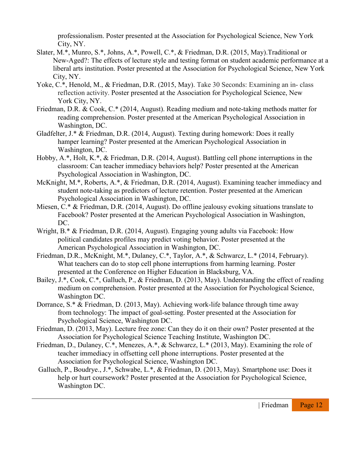professionalism. Poster presented at the Association for Psychological Science, New York City, NY.

- Slater, M.\*, Munro, S.\*, Johns, A.\*, Powell, C.\*, & Friedman, D.R. (2015, May).Traditional or New-Aged?: The effects of lecture style and testing format on student academic performance at a liberal arts institution. Poster presented at the Association for Psychological Science, New York City, NY.
- Yoke, C.\*, Henold, M., & Friedman, D.R. (2015, May). Take 30 Seconds: Examining an in- class reflection activity. Poster presented at the Association for Psychological Science, New York City, NY.
- Friedman, D.R. & Cook, C.\* (2014, August). Reading medium and note-taking methods matter for reading comprehension. Poster presented at the American Psychological Association in Washington, DC.
- Gladfelter, J.\* & Friedman, D.R. (2014, August). Texting during homework: Does it really hamper learning? Poster presented at the American Psychological Association in Washington, DC.
- Hobby, A.\*, Holt, K.\*, & Friedman, D.R. (2014, August). Battling cell phone interruptions in the classroom: Can teacher immediacy behaviors help? Poster presented at the American Psychological Association in Washington, DC.
- McKnight, M.\*, Roberts, A.\*, & Friedman, D.R. (2014, August). Examining teacher immediacy and student note-taking as predictors of lecture retention. Poster presented at the American Psychological Association in Washington, DC.
- Miesen, C.\* & Friedman, D.R. (2014, August). Do offline jealousy evoking situations translate to Facebook? Poster presented at the American Psychological Association in Washington, DC.
- Wright, B.\* & Friedman, D.R. (2014, August). Engaging young adults via Facebook: How political candidates profiles may predict voting behavior. Poster presented at the American Psychological Association in Washington, DC.
- Friedman, D.R., McKnight, M.\*, Dulaney, C.\*, Taylor, A.\*, & Schwarcz, L.\* (2014, February). What teachers can do to stop cell phone interruptions from harming learning. Poster presented at the Conference on Higher Education in Blacksburg, VA.
- Bailey, J.\*, Cook, C.\*, Galluch, P., & Friedman, D. (2013, May). Understanding the effect of reading medium on comprehension. Poster presented at the Association for Psychological Science, Washington DC.
- Dorrance, S.\* & Friedman, D. (2013, May). Achieving work-life balance through time away from technology: The impact of goal-setting. Poster presented at the Association for Psychological Science, Washington DC.
- Friedman, D. (2013, May). Lecture free zone: Can they do it on their own? Poster presented at the Association for Psychological Science Teaching Institute, Washington DC.
- Friedman, D., Dulaney, C.\*, Menezes, A.\*, & Schwarcz, L.\* (2013, May). Examining the role of teacher immediacy in offsetting cell phone interruptions. Poster presented at the Association for Psychological Science, Washington DC.
- Galluch, P., Boudrye., J.\*, Schwabe, L.\*, & Friedman, D. (2013, May). Smartphone use: Does it help or hurt coursework? Poster presented at the Association for Psychological Science, Washington DC.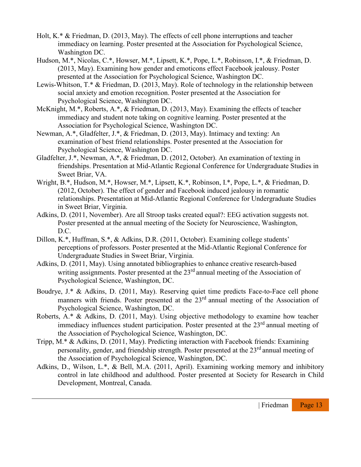- Holt, K.\* & Friedman, D. (2013, May). The effects of cell phone interruptions and teacher immediacy on learning. Poster presented at the Association for Psychological Science, Washington DC.
- Hudson, M.\*, Nicolas, C.\*, Howser, M.\*, Lipsett, K.\*, Pope, L.\*, Robinson, I.\*, & Friedman, D. (2013, May). Examining how gender and emoticons effect Facebook jealousy. Poster presented at the Association for Psychological Science, Washington DC.
- Lewis-Whitson, T.\* & Friedman, D. (2013, May). Role of technology in the relationship between social anxiety and emotion recognition. Poster presented at the Association for Psychological Science, Washington DC.
- McKnight, M.\*, Roberts, A.\*, & Friedman, D. (2013, May). Examining the effects of teacher immediacy and student note taking on cognitive learning. Poster presented at the Association for Psychological Science, Washington DC.
- Newman, A.\*, Gladfelter, J.\*, & Friedman, D. (2013, May). Intimacy and texting: An examination of best friend relationships. Poster presented at the Association for Psychological Science, Washington DC.
- Gladfelter, J.\*, Newman, A.\*, & Friedman, D. (2012, October). An examination of texting in friendships. Presentation at Mid-Atlantic Regional Conference for Undergraduate Studies in Sweet Briar, VA.
- Wright, B.\*, Hudson, M.\*, Howser, M.\*, Lipsett, K.\*, Robinson, I.\*, Pope, L.\*, & Friedman, D. (2012, October). The effect of gender and Facebook induced jealousy in romantic relationships. Presentation at Mid-Atlantic Regional Conference for Undergraduate Studies in Sweet Briar, Virginia.
- Adkins, D. (2011, November). Are all Stroop tasks created equal?: EEG activation suggests not. Poster presented at the annual meeting of the Society for Neuroscience, Washington, D.C.
- Dillon, K.\*, Huffman, S.\*, & Adkins, D.R. (2011, October). Examining college students' perceptions of professors. Poster presented at the Mid-Atlantic Regional Conference for Undergraduate Studies in Sweet Briar, Virginia.
- Adkins, D. (2011, May). Using annotated bibliographies to enhance creative research-based writing assignments. Poster presented at the  $23<sup>rd</sup>$  annual meeting of the Association of Psychological Science, Washington, DC.
- Boudrye, J.\* & Adkins, D. (2011, May). Reserving quiet time predicts Face-to-Face cell phone manners with friends. Poster presented at the 23<sup>rd</sup> annual meeting of the Association of Psychological Science, Washington, DC.
- Roberts, A.\* & Adkins, D. (2011, May). Using objective methodology to examine how teacher immediacy influences student participation. Poster presented at the 23<sup>rd</sup> annual meeting of the Association of Psychological Science, Washington, DC.
- Tripp, M.\* & Adkins, D. (2011, May). Predicting interaction with Facebook friends: Examining personality, gender, and friendship strength. Poster presented at the 23<sup>rd</sup> annual meeting of the Association of Psychological Science, Washington, DC.
- Adkins, D., Wilson, L.\*, & Bell, M.A. (2011, April). Examining working memory and inhibitory control in late childhood and adulthood. Poster presented at Society for Research in Child Development, Montreal, Canada.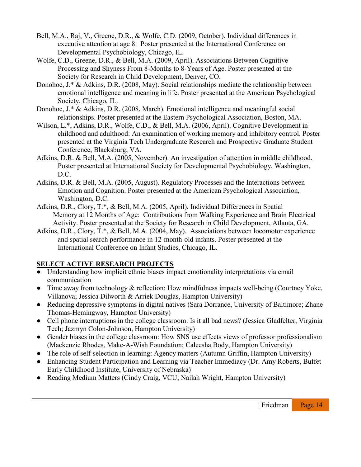- Bell, M.A., Raj, V., Greene, D.R., & Wolfe, C.D. (2009, October). Individual differences in executive attention at age 8. Poster presented at the International Conference on Developmental Psychobiology, Chicago, IL.
- Wolfe, C.D., Greene, D.R., & Bell, M.A. (2009, April). Associations Between Cognitive Processing and Shyness From 8-Months to 8-Years of Age. Poster presented at the Society for Research in Child Development, Denver, CO.
- Donohoe, J.\* & Adkins, D.R. (2008, May). Social relationships mediate the relationship between emotional intelligence and meaning in life. Poster presented at the American Psychological Society, Chicago, IL.
- Donohoe, J.\* & Adkins, D.R. (2008, March). Emotional intelligence and meaningful social relationships. Poster presented at the Eastern Psychological Association, Boston, MA.
- Wilson, L.\*, Adkins, D.R., Wolfe, C.D., & Bell, M.A. (2006, April). Cognitive Development in childhood and adulthood: An examination of working memory and inhibitory control. Poster presented at the Virginia Tech Undergraduate Research and Prospective Graduate Student Conference, Blacksburg, VA.
- Adkins, D.R. & Bell, M.A. (2005, November). An investigation of attention in middle childhood. Poster presented at International Society for Developmental Psychobiology, Washington, D.C.
- Adkins, D.R. & Bell, M.A. (2005, August). Regulatory Processes and the Interactions between Emotion and Cognition. Poster presented at the American Psychological Association, Washington, D.C.
- Adkins, D.R., Clory, T.\*, & Bell, M.A. (2005, April). Individual Differences in Spatial Memory at 12 Months of Age: Contributions from Walking Experience and Brain Electrical Activity. Poster presented at the Society for Research in Child Development, Atlanta, GA.
- Adkins, D.R., Clory, T.\*, & Bell, M.A. (2004, May). Associations between locomotor experience and spatial search performance in 12-month-old infants. Poster presented at the International Conference on Infant Studies, Chicago, IL.

## **SELECT ACTIVE RESEARCH PROJECTS**

- Understanding how implicit ethnic biases impact emotionality interpretations via email communication
- Time away from technology & reflection: How mindfulness impacts well-being (Courtney Yoke, Villanova; Jessica Dilworth & Arriek Douglas, Hampton University)
- Reducing depressive symptoms in digital natives (Sara Dorrance, University of Baltimore; Zhane Thomas-Hemingway, Hampton University)
- Cell phone interruptions in the college classroom: Is it all bad news? (Jessica Gladfelter, Virginia Tech; Jazmyn Colon-Johnson, Hampton University)
- Gender biases in the college classroom: How SNS use effects views of professor professionalism (Mackenzie Rhodes, Make-A-Wish Foundation; Caleesha Body, Hampton University)
- The role of self-selection in learning: Agency matters (Autumn Griffin, Hampton University)
- Enhancing Student Participation and Learning via Teacher Immediacy (Dr. Amy Roberts, Buffet Early Childhood Institute, University of Nebraska)
- Reading Medium Matters (Cindy Craig, VCU; Nailah Wright, Hampton University)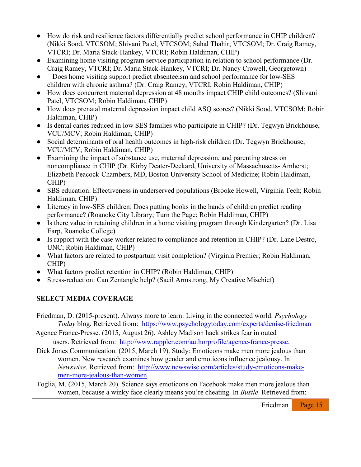- How do risk and resilience factors differentially predict school performance in CHIP children? (Nikki Sood, VTCSOM; Shivani Patel, VTCSOM; Sahal Thahir, VTCSOM; Dr. Craig Ramey, VTCRI; Dr. Maria Stack-Hankey, VTCRI; Robin Haldiman, CHIP)
- Examining home visiting program service participation in relation to school performance (Dr. Craig Ramey, VTCRI; Dr. Maria Stack-Hankey, VTCRI; Dr. Nancy Crowell, Georgetown)
- Does home visiting support predict absenteeism and school performance for low-SES children with chronic asthma? (Dr. Craig Ramey, VTCRI; Robin Haldiman, CHIP)
- How does concurrent maternal depression at 48 months impact CHIP child outcomes? (Shivani Patel, VTCSOM; Robin Haldiman, CHIP)
- How does prenatal maternal depression impact child ASQ scores? (Nikki Sood, VTCSOM; Robin Haldiman, CHIP)
- Is dental caries reduced in low SES families who participate in CHIP? (Dr. Tegwyn Brickhouse, VCU/MCV; Robin Haldiman, CHIP)
- Social determinants of oral health outcomes in high-risk children (Dr. Tegwyn Brickhouse, VCU/MCV; Robin Haldiman, CHIP)
- Examining the impact of substance use, maternal depression, and parenting stress on noncompliance in CHIP (Dr. Kirby Deater-Deckard, University of Massachusetts- Amherst; Elizabeth Peacock-Chambers, MD, Boston University School of Medicine; Robin Haldiman, CHIP)
- SBS education: Effectiveness in underserved populations (Brooke Howell, Virginia Tech; Robin Haldiman, CHIP)
- Literacy in low-SES children: Does putting books in the hands of children predict reading performance? (Roanoke City Library; Turn the Page; Robin Haldiman, CHIP)
- Is there value in retaining children in a home visiting program through Kindergarten? (Dr. Lisa Earp, Roanoke College)
- Is rapport with the case worker related to compliance and retention in CHIP? (Dr. Lane Destro, UNC; Robin Haldiman, CHIP)
- What factors are related to postpartum visit completion? (Virginia Premier; Robin Haldiman, CHIP)
- What factors predict retention in CHIP? (Robin Haldiman, CHIP)
- Stress-reduction: Can Zentangle help? (Sacil Armstrong, My Creative Mischief)

## **SELECT MEDIA COVERAGE**

Friedman, D. (2015-present). Always more to learn: Living in the connected world. *Psychology Today* blog. Retrieved from: <https://www.psychologytoday.com/experts/denise-friedman>

Agence France-Presse. (2015, August 26). Ashley Madison hack strikes fear in outed users. Retrieved from: [http://www.rappler.com/authorprofile/agence-france-presse.](http://www.rappler.com/authorprofile/agence-france-presse)

- Dick Jones Communication. (2015, March 19). Study: Emoticons make men more jealous than women. New research examines how gender and emoticons influence jealousy. In *Newswise*. Retrieved from: [http://www.newswise.com/articles/study-emoticons-make](http://www.newswise.com/articles/study-emoticons-make-men-more-jealous-than-women)[men-more-jealous-than-women.](http://www.newswise.com/articles/study-emoticons-make-men-more-jealous-than-women)
- Toglia, M. (2015, March 20). Science says emoticons on Facebook make men more jealous than women, because a winky face clearly means you're cheating. In *Bustle*. Retrieved from: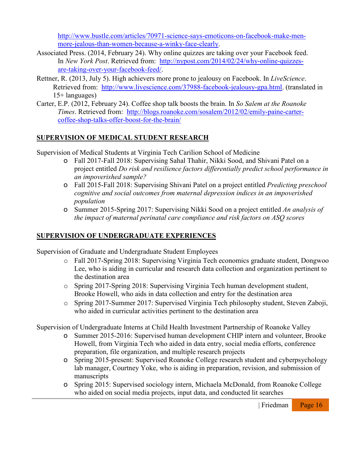[http://www.bustle.com/articles/70971-science-says-emoticons-on-facebook-make-men](http://www.bustle.com/articles/70971-science-says-emoticons-on-facebook-make-men-more-jealous-than-women-because-a-winky-face-clearly)[more-jealous-than-women-because-a-winky-face-clearly.](http://www.bustle.com/articles/70971-science-says-emoticons-on-facebook-make-men-more-jealous-than-women-because-a-winky-face-clearly)

- Associated Press. (2014, February 24). Why online quizzes are taking over your Facebook feed. In *New York Post*. Retrieved from: [http://nypost.com/2014/02/24/why-online-quizzes](http://nypost.com/2014/02/24/why-online-quizzes-are-taking-over-your-facebook-feed/)[are-taking-over-your-facebook-feed/.](http://nypost.com/2014/02/24/why-online-quizzes-are-taking-over-your-facebook-feed/)
- Rettner, R. (2013, July 5). High achievers more prone to jealousy on Facebook. In *LiveScience*. Retrieved from: [http://www.livescience.com/37988-facebook-jealousy-gpa.html.](http://www.livescience.com/37988-facebook-jealousy-gpa.html) (translated in 15+ languages)
- Carter, E.P. (2012, February 24). Coffee shop talk boosts the brain. In *So Salem at the Roanoke Times*. Retrieved from: [http://blogs.roanoke.com/sosalem/2012/02/emily-paine-carter](http://blogs.roanoke.com/sosalem/2012/02/emily-paine-carter-coffee-shop-talks-offer-boost-for-the-brain/)[coffee-shop-talks-offer-boost-for-the-brain/](http://blogs.roanoke.com/sosalem/2012/02/emily-paine-carter-coffee-shop-talks-offer-boost-for-the-brain/)

## **SUPERVISION OF MEDICAL STUDENT RESEARCH**

Supervision of Medical Students at Virginia Tech Carilion School of Medicine

- o Fall 2017-Fall 2018: Supervising Sahal Thahir, Nikki Sood, and Shivani Patel on a project entitled *Do risk and resilience factors differentially predict school performance in an impoverished sample?*
- o Fall 2015-Fall 2018: Supervising Shivani Patel on a project entitled *Predicting preschool cognitive and social outcomes from maternal depression indices in an impoverished population*
- o Summer 2015-Spring 2017: Supervising Nikki Sood on a project entitled *An analysis of the impact of maternal perinatal care compliance and risk factors on ASQ scores*

## **SUPERVISION OF UNDERGRADUATE EXPERIENCES**

Supervision of Graduate and Undergraduate Student Employees

- o Fall 2017-Spring 2018: Supervising Virginia Tech economics graduate student, Dongwoo Lee, who is aiding in curricular and research data collection and organization pertinent to the destination area
- o Spring 2017-Spring 2018: Supervising Virginia Tech human development student, Brooke Howell, who aids in data collection and entry for the destination area
- o Spring 2017-Summer 2017: Supervised Virginia Tech philosophy student, Steven Zaboji, who aided in curricular activities pertinent to the destination area

Supervision of Undergraduate Interns at Child Health Investment Partnership of Roanoke Valley

- o Summer 2015-2016: Supervised human development CHIP intern and volunteer, Brooke Howell, from Virginia Tech who aided in data entry, social media efforts, conference preparation, file organization, and multiple research projects
- o Spring 2015-present: Supervised Roanoke College research student and cyberpsychology lab manager, Courtney Yoke, who is aiding in preparation, revision, and submission of manuscripts
- o Spring 2015: Supervised sociology intern, Michaela McDonald, from Roanoke College who aided on social media projects, input data, and conducted lit searches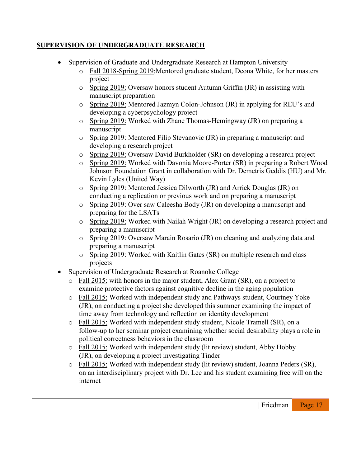## **SUPERVISION OF UNDERGRADUATE RESEARCH**

- Supervision of Graduate and Undergraduate Research at Hampton University
	- o Fall 2018-Spring 2019:Mentored graduate student, Deona White, for her masters project
	- o Spring 2019: Oversaw honors student Autumn Griffin (JR) in assisting with manuscript preparation
	- o Spring 2019: Mentored Jazmyn Colon-Johnson (JR) in applying for REU's and developing a cyberpsychology project
	- o Spring 2019: Worked with Zhane Thomas-Hemingway (JR) on preparing a manuscript
	- o Spring 2019: Mentored Filip Stevanovic (JR) in preparing a manuscript and developing a research project
	- o Spring 2019: Oversaw David Burkholder (SR) on developing a research project
	- o Spring 2019: Worked with Davonia Moore-Porter (SR) in preparing a Robert Wood Johnson Foundation Grant in collaboration with Dr. Demetris Geddis (HU) and Mr. Kevin Lyles (United Way)
	- o Spring 2019: Mentored Jessica Dilworth (JR) and Arriek Douglas (JR) on conducting a replication or previous work and on preparing a manuscript
	- o Spring 2019: Over saw Caleesha Body (JR) on developing a manuscript and preparing for the LSATs
	- o Spring 2019: Worked with Nailah Wright (JR) on developing a research project and preparing a manuscript
	- o Spring 2019: Oversaw Marain Rosario (JR) on cleaning and analyzing data and preparing a manuscript
	- o Spring 2019: Worked with Kaitlin Gates (SR) on multiple research and class projects
- Supervision of Undergraduate Research at Roanoke College
	- o Fall 2015: with honors in the major student, Alex Grant (SR), on a project to examine protective factors against cognitive decline in the aging population
	- o Fall 2015: Worked with independent study and Pathways student, Courtney Yoke (JR), on conducting a project she developed this summer examining the impact of time away from technology and reflection on identity development
	- o Fall 2015: Worked with independent study student, Nicole Tramell (SR), on a follow-up to her seminar project examining whether social desirability plays a role in political correctness behaviors in the classroom
	- o Fall 2015: Worked with independent study (lit review) student, Abby Hobby (JR), on developing a project investigating Tinder
	- o Fall 2015: Worked with independent study (lit review) student, Joanna Peders (SR), on an interdisciplinary project with Dr. Lee and his student examining free will on the internet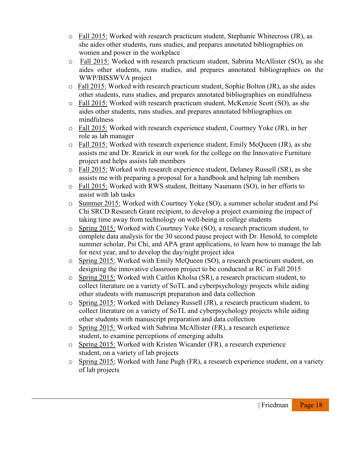- o Fall 2015: Worked with research practicum student, Stephanie Whitecross (JR), as she aides other students, runs studies, and prepares annotated bibliographies on women and power in the workplace
- o Fall 2015: Worked with research practicum student, Sabrina McAllister (SO), as she aides other students, runs studies, and prepares annotated bibliographies on the WWP/BISSWVA project
- o Fall 2015: Worked with research practicum student, Sophie Bolton (JR), as she aides other students, runs studies, and prepares annotated bibliographies on mindfulness
- o Fall 2015: Worked with research practicum student, McKenzie Scott (SO), as she aides other students, runs studies, and prepares annotated bibliographies on mindfulness
- $\circ$  Fall 2015: Worked with research experience student, Courtney Yoke (JR), in her role as lab manager
- o Fall 2015: Worked with research experience student, Emily McQueen (JR), as she assists me and Dr. Rearick in our work for the college on the Innovative Furniture project and helps assists lab members
- o Fall 2015: Worked with research experience student, Delaney Russell (SR), as she assists me with preparing a proposal for a handbook and helping lab members
- o Fall 2015: Worked with RWS student, Brittany Naumann (SO), in her efforts to assist with lab tasks
- o Summer 2015: Worked with Courtney Yoke (SO), a summer scholar student and Psi Chi SRCD Research Grant recipient, to develop a project examining the impact of taking time away from technology on well-being in college students
- o Spring 2015: Worked with Courtney Yoke (SO), a research practicum student, to complete data analysis for the 30 second pause project with Dr. Henold, to complete summer scholar, Psi Chi, and APA grant applications, to learn how to manage the lab for next year, and to develop the day/night project idea
- o Spring 2015: Worked with Emily McQueen (SO), a research practicum student, on designing the innovative classroom project to be conducted at RC in Fall 2015
- o Spring 2015: Worked with Caitlin Kholsa (SR), a research practicum student, to collect literature on a variety of SoTL and cyberpsychology projects while aiding other students with manuscript preparation and data collection
- o Spring 2015: Worked with Delaney Russell (JR), a research practicum student, to collect literature on a variety of SoTL and cyberpsychology projects while aiding other students with manuscript preparation and data collection
- o Spring 2015: Worked with Sabrina McAllister (FR), a research experience student, to examine perceptions of emerging adults
- o Spring 2015: Worked with Kristen Wicander (FR), a research experience student, on a variety of lab projects
- o Spring 2015: Worked with Jane Pugh (FR), a research experience student, on a variety of lab projects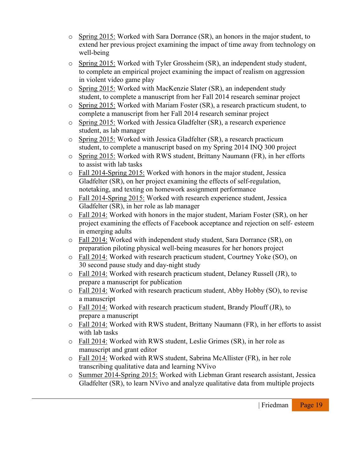- o Spring 2015: Worked with Sara Dorrance (SR), an honors in the major student, to extend her previous project examining the impact of time away from technology on well-being
- o Spring 2015: Worked with Tyler Grossheim (SR), an independent study student, to complete an empirical project examining the impact of realism on aggression in violent video game play
- o Spring 2015: Worked with MacKenzie Slater (SR), an independent study student, to complete a manuscript from her Fall 2014 research seminar project
- o Spring 2015: Worked with Mariam Foster (SR), a research practicum student, to complete a manuscript from her Fall 2014 research seminar project
- o Spring 2015: Worked with Jessica Gladfelter (SR), a research experience student, as lab manager
- o Spring 2015: Worked with Jessica Gladfelter (SR), a research practicum student, to complete a manuscript based on my Spring 2014 INQ 300 project
- o Spring 2015: Worked with RWS student, Brittany Naumann (FR), in her efforts to assist with lab tasks
- o Fall 2014-Spring 2015: Worked with honors in the major student, Jessica Gladfelter (SR), on her project examining the effects of self-regulation, notetaking, and texting on homework assignment performance
- o Fall 2014-Spring 2015: Worked with research experience student, Jessica Gladfelter (SR), in her role as lab manager
- o Fall 2014: Worked with honors in the major student, Mariam Foster (SR), on her project examining the effects of Facebook acceptance and rejection on self- esteem in emerging adults
- o Fall 2014: Worked with independent study student, Sara Dorrance (SR), on preparation piloting physical well-being measures for her honors project
- o Fall 2014: Worked with research practicum student, Courtney Yoke (SO), on 30 second pause study and day-night study
- o Fall 2014: Worked with research practicum student, Delaney Russell (JR), to prepare a manuscript for publication
- o Fall 2014: Worked with research practicum student, Abby Hobby (SO), to revise a manuscript
- o Fall 2014: Worked with research practicum student, Brandy Plouff (JR), to prepare a manuscript
- o Fall 2014: Worked with RWS student, Brittany Naumann (FR), in her efforts to assist with lab tasks
- o Fall 2014: Worked with RWS student, Leslie Grimes (SR), in her role as manuscript and grant editor
- o Fall 2014: Worked with RWS student, Sabrina McAllister (FR), in her role transcribing qualitative data and learning NVivo
- o Summer 2014-Spring 2015: Worked with Liebman Grant research assistant, Jessica Gladfelter (SR), to learn NVivo and analyze qualitative data from multiple projects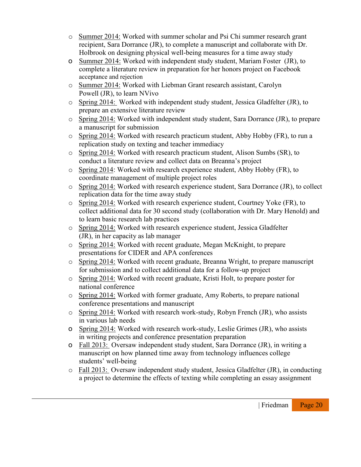- o Summer 2014: Worked with summer scholar and Psi Chi summer research grant recipient, Sara Dorrance (JR), to complete a manuscript and collaborate with Dr. Holbrook on designing physical well-being measures for a time away study
- o Summer 2014: Worked with independent study student, Mariam Foster (JR), to complete a literature review in preparation for her honors project on Facebook acceptance and rejection
- o Summer 2014: Worked with Liebman Grant research assistant, Carolyn Powell (JR), to learn NVivo
- $\circ$  Spring 2014: Worked with independent study student, Jessica Gladfelter (JR), to prepare an extensive literature review
- o Spring 2014: Worked with independent study student, Sara Dorrance (JR), to prepare a manuscript for submission
- o Spring 2014: Worked with research practicum student, Abby Hobby (FR), to run a replication study on texting and teacher immediacy
- o Spring 2014: Worked with research practicum student, Alison Sumbs (SR), to conduct a literature review and collect data on Breanna's project
- o Spring 2014: Worked with research experience student, Abby Hobby (FR), to coordinate management of multiple project roles
- o Spring 2014: Worked with research experience student, Sara Dorrance (JR), to collect replication data for the time away study
- o Spring 2014: Worked with research experience student, Courtney Yoke (FR), to collect additional data for 30 second study (collaboration with Dr. Mary Henold) and to learn basic research lab practices
- o Spring 2014: Worked with research experience student, Jessica Gladfelter (JR), in her capacity as lab manager
- o Spring 2014: Worked with recent graduate, Megan McKnight, to prepare presentations for CIDER and APA conferences
- o Spring 2014: Worked with recent graduate, Breanna Wright, to prepare manuscript for submission and to collect additional data for a follow-up project
- o Spring 2014: Worked with recent graduate, Kristi Holt, to prepare poster for national conference
- o Spring 2014: Worked with former graduate, Amy Roberts, to prepare national conference presentations and manuscript
- o Spring 2014: Worked with research work-study, Robyn French (JR), who assists in various lab needs
- o Spring 2014: Worked with research work-study, Leslie Grimes (JR), who assists in writing projects and conference presentation preparation
- o Fall 2013: Oversaw independent study student, Sara Dorrance (JR), in writing a manuscript on how planned time away from technology influences college students' well-being
- o Fall 2013: Oversaw independent study student, Jessica Gladfelter (JR), in conducting a project to determine the effects of texting while completing an essay assignment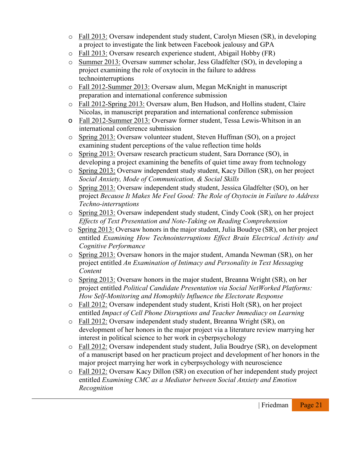- o Fall 2013: Oversaw independent study student, Carolyn Miesen (SR), in developing a project to investigate the link between Facebook jealousy and GPA
- o Fall 2013: Oversaw research experience student, Abigail Hobby (FR)
- o Summer 2013: Oversaw summer scholar, Jess Gladfelter (SO), in developing a project examining the role of oxytocin in the failure to address technointerruptions
- o Fall 2012-Summer 2013: Oversaw alum, Megan McKnight in manuscript preparation and international conference submission
- o Fall 2012-Spring 2013: Oversaw alum, Ben Hudson, and Hollins student, Claire Nicolas, in manuscript preparation and international conference submission
- o Fall 2012-Summer 2013: Oversaw former student, Tessa Lewis-Whitson in an international conference submission
- o Spring 2013: Oversaw volunteer student, Steven Huffman (SO), on a project examining student perceptions of the value reflection time holds
- o Spring 2013: Oversaw research practicum student, Sara Dorrance (SO), in developing a project examining the benefits of quiet time away from technology
- o Spring 2013: Oversaw independent study student, Kacy Dillon (SR), on her project *Social Anxiety, Mode of Communication, & Social Skills*
- o Spring 2013: Oversaw independent study student, Jessica Gladfelter (SO), on her project *Because It Makes Me Feel Good: The Role of Oxytocin in Failure to Address Techno-interruptions*
- o Spring 2013: Oversaw independent study student, Cindy Cook (SR), on her project *Effects of Text Presentation and Note-Taking on Reading Comprehension*
- o Spring 2013: Oversaw honors in the major student, Julia Boudrye (SR), on her project entitled *Examining How Technointerruptions Effect Brain Electrical Activity and Cognitive Performance*
- o Spring 2013: Oversaw honors in the major student, Amanda Newman (SR), on her project entitled *An Examination of Intimacy and Personality in Text Messaging Content*
- o Spring 2013: Oversaw honors in the major student, Breanna Wright (SR), on her project entitled *Political Candidate Presentation via Social NetWorked Platforms: How Self-Monitoring and Homophily Influence the Electorate Response*
- o Fall 2012: Oversaw independent study student, Kristi Holt (SR), on her project entitled *Impact of Cell Phone Disruptions and Teacher Immediacy on Learning*
- o Fall 2012: Oversaw independent study student, Breanna Wright (SR), on development of her honors in the major project via a literature review marrying her interest in political science to her work in cyberpsychology
- o Fall 2012: Oversaw independent study student, Julia Boudrye (SR), on development of a manuscript based on her practicum project and development of her honors in the major project marrying her work in cyberpsychology with neuroscience
- o Fall 2012: Oversaw Kacy Dillon (SR) on execution of her independent study project entitled *Examining CMC as a Mediator between Social Anxiety and Emotion Recognition*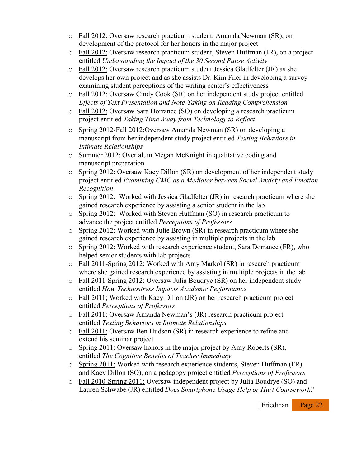- o Fall 2012: Oversaw research practicum student, Amanda Newman (SR), on development of the protocol for her honors in the major project
- o Fall 2012: Oversaw research practicum student, Steven Huffman (JR), on a project entitled *Understanding the Impact of the 30 Second Pause Activity*
- o Fall 2012: Oversaw research practicum student Jessica Gladfelter (JR) as she develops her own project and as she assists Dr. Kim Filer in developing a survey examining student perceptions of the writing center's effectiveness
- o Fall 2012: Oversaw Cindy Cook (SR) on her independent study project entitled *Effects of Text Presentation and Note-Taking on Reading Comprehension*
- o Fall 2012: Oversaw Sara Dorrance (SO) on developing a research practicum project entitled *Taking Time Away from Technology to Reflect*
- o Spring 2012-Fall 2012:Oversaw Amanda Newman (SR) on developing a manuscript from her independent study project entitled *Texting Behaviors in Intimate Relationships*
- o Summer 2012: Over alum Megan McKnight in qualitative coding and manuscript preparation
- o Spring 2012: Oversaw Kacy Dillon (SR) on development of her independent study project entitled *Examining CMC as a Mediator between Social Anxiety and Emotion Recognition*
- $\circ$  Spring 2012: Worked with Jessica Gladfelter (JR) in research practicum where she gained research experience by assisting a senior student in the lab
- o Spring 2012: Worked with Steven Huffman (SO) in research practicum to advance the project entitled *Perceptions of Professors*
- o Spring 2012: Worked with Julie Brown (SR) in research practicum where she gained research experience by assisting in multiple projects in the lab
- o Spring 2012: Worked with research experience student, Sara Dorrance (FR), who helped senior students with lab projects
- o Fall 2011-Spring 2012: Worked with Amy Markol (SR) in research practicum where she gained research experience by assisting in multiple projects in the lab
- o Fall 2011-Spring 2012: Oversaw Julia Boudrye (SR) on her independent study entitled *How Technostress Impacts Academic Performance*
- o Fall 2011; Worked with Kacy Dillon (JR) on her research practicum project entitled *Perceptions of Professors*
- o Fall 2011: Oversaw Amanda Newman's (JR) research practicum project entitled *Texting Behaviors in Intimate Relationships*
- o Fall 2011: Oversaw Ben Hudson (SR) in research experience to refine and extend his seminar project
- o Spring 2011: Oversaw honors in the major project by Amy Roberts (SR), entitled *The Cognitive Benefits of Teacher Immediacy*
- o Spring 2011: Worked with research experience students, Steven Huffman (FR) and Kacy Dillon (SO), on a pedagogy project entitled *Perceptions of Professors*
- o Fall 2010-Spring 2011: Oversaw independent project by Julia Boudrye (SO) and Lauren Schwabe (JR) entitled *Does Smartphone Usage Help or Hurt Coursework?*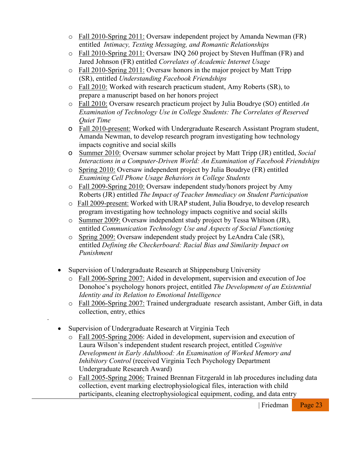- o Fall 2010-Spring 2011: Oversaw independent project by Amanda Newman (FR) entitled *Intimacy, Texting Messaging, and Romantic Relationships*
- o Fall 2010-Spring 2011: Oversaw INQ 260 project by Steven Huffman (FR) and Jared Johnson (FR) entitled *Correlates of Academic Internet Usage*
- o Fall 2010-Spring 2011: Oversaw honors in the major project by Matt Tripp (SR), entitled *Understanding Facebook Friendships*
- o Fall 2010: Worked with research practicum student, Amy Roberts (SR), to prepare a manuscript based on her honors project
- o Fall 2010: Oversaw research practicum project by Julia Boudrye (SO) entitled *An Examination of Technology Use in College Students: The Correlates of Reserved Quiet Time*
- o Fall 2010-present: Worked with Undergraduate Research Assistant Program student, Amanda Newman, to develop research program investigating how technology impacts cognitive and social skills
- o Summer 2010: Oversaw summer scholar project by Matt Tripp (JR) entitled, *Social Interactions in a Computer-Driven World: An Examination of Facebook Friendships*
- o Spring 2010: Oversaw independent project by Julia Boudrye (FR) entitled *Examining Cell Phone Usage Behaviors in College Students*
- o Fall 2009-Spring 2010: Oversaw independent study/honors project by Amy Roberts (JR) entitled *The Impact of Teacher Immediacy on Student Participation*
- o Fall 2009-present: Worked with URAP student, Julia Boudrye, to develop research program investigating how technology impacts cognitive and social skills
- o Summer 2009: Oversaw independent study project by Tessa Whitson (JR), entitled *Communication Technology Use and Aspects of Social Functioning*
- o Spring 2009: Oversaw independent study project by LeAndra Cale (SR), entitled *Defining the Checkerboard: Racial Bias and Similarity Impact on Punishment*
- Supervision of Undergraduate Research at Shippensburg University
	- o Fall 2006-Spring 2007: Aided in development, supervision and execution of Joe Donohoe's psychology honors project, entitled *The Development of an Existential Identity and its Relation to Emotional Intelligence*
	- o Fall 2006-Spring 2007: Trained undergraduate research assistant, Amber Gift, in data collection, entry, ethics
- Supervision of Undergraduate Research at Virginia Tech

∙

- o Fall 2005-Spring 2006: Aided in development, supervision and execution of Laura Wilson's independent student research project, entitled *Cognitive Development in Early Adulthood: An Examination of Worked Memory and Inhibitory Control* (received Virginia Tech Psychology Department Undergraduate Research Award)
- o Fall 2005-Spring 2006: Trained Brennan Fitzgerald in lab procedures including data collection, event marking electrophysiological files, interaction with child participants, cleaning electrophysiological equipment, coding, and data entry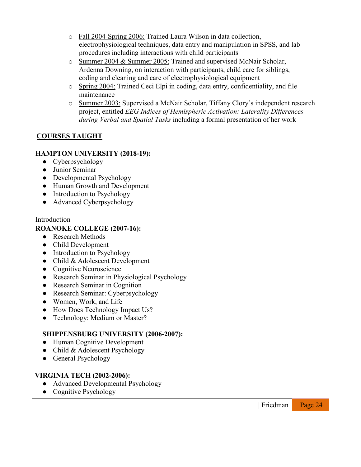- o Fall 2004-Spring 2006: Trained Laura Wilson in data collection, electrophysiological techniques, data entry and manipulation in SPSS, and lab procedures including interactions with child participants
- o Summer 2004 & Summer 2005: Trained and supervised McNair Scholar, Ardenna Downing, on interaction with participants, child care for siblings, coding and cleaning and care of electrophysiological equipment
- o Spring 2004: Trained Ceci Elpi in coding, data entry, confidentiality, and file maintenance
- o Summer 2003: Supervised a McNair Scholar, Tiffany Clory's independent research project, entitled *EEG Indices of Hemispheric Activation: Laterality Differences during Verbal and Spatial Tasks* including a formal presentation of her work

## **COURSES TAUGHT**

## **HAMPTON UNIVERSITY (2018-19):**

- Cyberpsychology
- Junior Seminar
- Developmental Psychology
- Human Growth and Development
- Introduction to Psychology
- Advanced Cyberpsychology

#### Introduction

### **ROANOKE COLLEGE (2007-16):**

- Research Methods
- Child Development
- Introduction to Psychology
- Child & Adolescent Development
- Cognitive Neuroscience
- Research Seminar in Physiological Psychology
- Research Seminar in Cognition
- Research Seminar: Cyberpsychology
- Women, Work, and Life
- How Does Technology Impact Us?
- Technology: Medium or Master?

## **SHIPPENSBURG UNIVERSITY (2006-2007):**

- Human Cognitive Development
- Child & Adolescent Psychology
- General Psychology

#### **VIRGINIA TECH (2002-2006):**

- Advanced Developmental Psychology
- Cognitive Psychology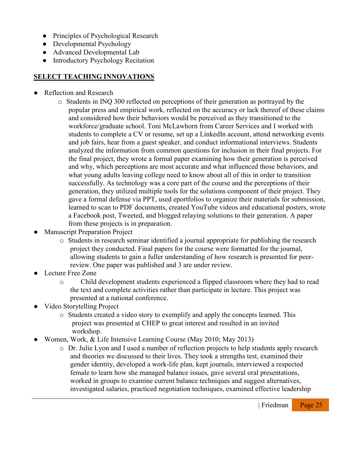- Principles of Psychological Research
- Developmental Psychology
- Advanced Developmental Lab
- Introductory Psychology Recitation

## **SELECT TEACHING INNOVATIONS**

- Reflection and Research
	- o Students in INQ 300 reflected on perceptions of their generation as portrayed by the popular press and empirical work, reflected on the accuracy or lack thereof of these claims and considered how their behaviors would be perceived as they transitioned to the workforce/graduate school. Toni McLawhorn from Career Services and I worked with students to complete a CV or resume, set up a LinkedIn account, attend networking events and job fairs, hear from a guest speaker, and conduct informational interviews. Students analyzed the information from common questions for inclusion in their final projects. For the final project, they wrote a formal paper examining how their generation is perceived and why, which perceptions are most accurate and what influenced those behaviors, and what young adults leaving college need to know about all of this in order to transition successfully. As technology was a core part of the course and the perceptions of their generation, they utilized multiple tools for the solutions component of their project. They gave a formal defense via PPT, used eportfolios to organize their materials for submission, learned to scan to PDF documents, created YouTube videos and educational posters, wrote a Facebook post, Tweeted, and blogged relaying solutions to their generation. A paper from these projects is in preparation.
- **Manuscript Preparation Project** 
	- o Students in research seminar identified a journal appropriate for publishing the research project they conducted. Final papers for the course were formatted for the journal, allowing students to gain a fuller understanding of how research is presented for peerreview. One paper was published and 3 are under review.
- Lecture Free Zone
	- o Child development students experienced a flipped classroom where they had to read the text and complete activities rather than participate in lecture. This project was presented at a national conference.
- Video Storytelling Project
	- o Students created a video story to exemplify and apply the concepts learned. This project was presented at CHEP to great interest and resulted in an invited workshop.
- Women, Work, & Life Intensive Learning Course (May 2010; May 2013)
	- o Dr. Julie Lyon and I used a number of reflection projects to help students apply research and theories we discussed to their lives. They took a strengths test, examined their gender identity, developed a work-life plan, kept journals, interviewed a respected female to learn how she managed balance issues, gave several oral presentations, worked in groups to examine current balance techniques and suggest alternatives, investigated salaries, practiced negotiation techniques, examined effective leadership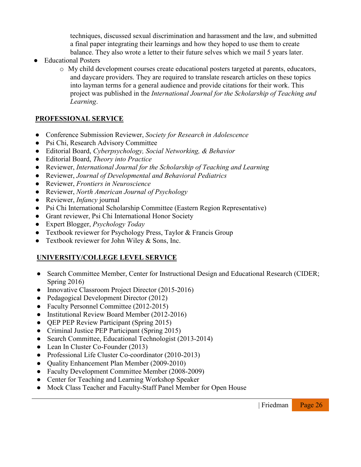techniques, discussed sexual discrimination and harassment and the law, and submitted a final paper integrating their learnings and how they hoped to use them to create balance. They also wrote a letter to their future selves which we mail 5 years later.

- **Educational Posters** 
	- o My child development courses create educational posters targeted at parents, educators, and daycare providers. They are required to translate research articles on these topics into layman terms for a general audience and provide citations for their work. This project was published in the *International Journal for the Scholarship of Teaching and Learning*.

## **PROFESSIONAL SERVICE**

- Conference Submission Reviewer, *Society for Research in Adolescence*
- Psi Chi, Research Advisory Committee
- Editorial Board, *Cyberpsychology, Social Networking, & Behavior*
- Editorial Board, *Theory into Practice*
- Reviewer, *International Journal for the Scholarship of Teaching and Learning*
- Reviewer, *Journal of Developmental and Behavioral Pediatrics*
- Reviewer, *Frontiers in Neuroscience*
- Reviewer, *North American Journal of Psychology*
- Reviewer, *Infancy* journal
- Psi Chi International Scholarship Committee (Eastern Region Representative)
- Grant reviewer, Psi Chi International Honor Society
- Expert Blogger, *Psychology Today*
- Textbook reviewer for Psychology Press, Taylor & Francis Group
- Textbook reviewer for John Wiley  $&$  Sons, Inc.

## **UNIVERSITY/COLLEGE LEVEL SERVICE**

- Search Committee Member, Center for Instructional Design and Educational Research (CIDER; Spring 2016)
- Innovative Classroom Project Director (2015-2016)
- Pedagogical Development Director (2012)
- Faculty Personnel Committee (2012-2015)
- Institutional Review Board Member (2012-2016)
- **QEP PEP Review Participant (Spring 2015)**
- Criminal Justice PEP Participant (Spring 2015)
- Search Committee, Educational Technologist (2013-2014)
- Lean In Cluster Co-Founder (2013)
- Professional Life Cluster Co-coordinator (2010-2013)
- Quality Enhancement Plan Member (2009-2010)
- Faculty Development Committee Member (2008-2009)
- Center for Teaching and Learning Workshop Speaker
- Mock Class Teacher and Faculty-Staff Panel Member for Open House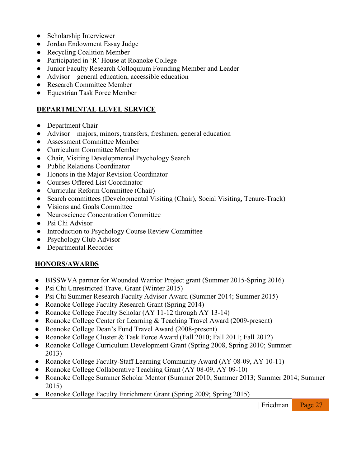- Scholarship Interviewer
- Jordan Endowment Essay Judge
- Recycling Coalition Member
- Participated in 'R' House at Roanoke College
- Junior Faculty Research Colloquium Founding Member and Leader
- Advisor general education, accessible education
- Research Committee Member
- Equestrian Task Force Member

## **DEPARTMENTAL LEVEL SERVICE**

- Department Chair
- Advisor majors, minors, transfers, freshmen, general education
- Assessment Committee Member
- Curriculum Committee Member
- Chair, Visiting Developmental Psychology Search
- Public Relations Coordinator
- Honors in the Major Revision Coordinator
- Courses Offered List Coordinator
- Curricular Reform Committee (Chair)
- Search committees (Developmental Visiting (Chair), Social Visiting, Tenure-Track)
- Visions and Goals Committee
- Neuroscience Concentration Committee
- Psi Chi Advisor
- Introduction to Psychology Course Review Committee
- Psychology Club Advisor
- Departmental Recorder

## **HONORS/AWARDS**

- BISSWVA partner for Wounded Warrior Project grant (Summer 2015-Spring 2016)
- Psi Chi Unrestricted Travel Grant (Winter 2015)
- Psi Chi Summer Research Faculty Advisor Award (Summer 2014; Summer 2015)
- Roanoke College Faculty Research Grant (Spring 2014)
- Roanoke College Faculty Scholar (AY 11-12 through AY 13-14)
- Roanoke College Center for Learning & Teaching Travel Award (2009-present)
- Roanoke College Dean's Fund Travel Award (2008-present)
- Roanoke College Cluster & Task Force Award (Fall 2010; Fall 2011; Fall 2012)
- Roanoke College Curriculum Development Grant (Spring 2008, Spring 2010; Summer 2013)
- Roanoke College Faculty-Staff Learning Community Award (AY 08-09, AY 10-11)
- Roanoke College Collaborative Teaching Grant (AY 08-09, AY 09-10)
- Roanoke College Summer Scholar Mentor (Summer 2010; Summer 2013; Summer 2014; Summer 2015)
- Roanoke College Faculty Enrichment Grant (Spring 2009; Spring 2015)